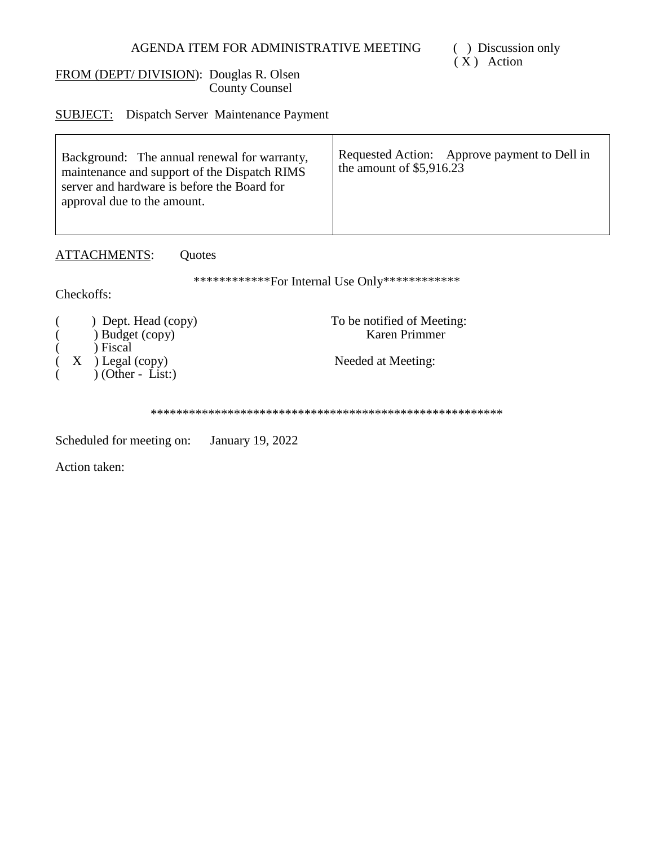## AGENDA ITEM FOR ADMINISTRATIVE MEETING

# FROM (DEPT/DIVISION): Douglas R. Olsen County Counsel

**SUBJECT:** Dispatch Server Maintenance Payment

| Background: The annual renewal for warranty,<br>maintenance and support of the Dispatch RIMS<br>server and hardware is before the Board for<br>approval due to the amount. | Requested Action: Approve payment to Dell in<br>the amount of $$5,916.23$ |
|----------------------------------------------------------------------------------------------------------------------------------------------------------------------------|---------------------------------------------------------------------------|
|----------------------------------------------------------------------------------------------------------------------------------------------------------------------------|---------------------------------------------------------------------------|

ATTACHMENTS: Quotes

\*\*\*\*\*\*\*\*\*\*\*\*\*For Internal Use Only\*\*\*\*\*\*\*\*\*\*\*\*\*

Checkoffs:

|  | ) Dept. Head (copy)<br>) Budget (copy) | To be notified of Meeting:<br>Karen Primmer |
|--|----------------------------------------|---------------------------------------------|
|  | ) Fiscal<br>$(X)$ Legal (copy)         | Needed at Meeting:                          |
|  | $(Other - List.)$                      |                                             |

Scheduled for meeting on: January 19, 2022

Action taken:

( ) Discussion only  $(X)$  Action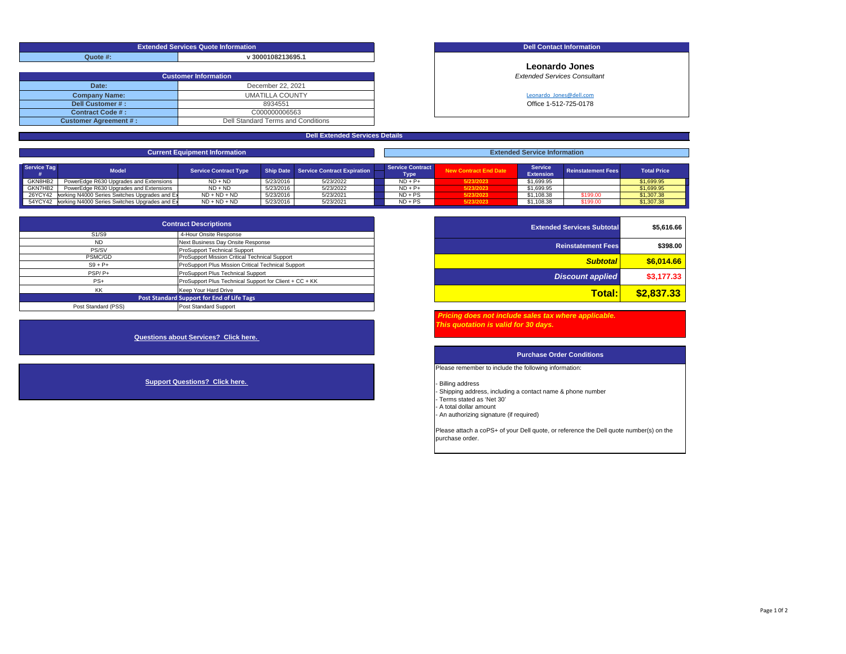| <b>Extended Services Quote Information</b> |                   |  |  |  |  |  |
|--------------------------------------------|-------------------|--|--|--|--|--|
| Quote #:                                   | v 3000108213695.1 |  |  |  |  |  |

| <b>Customer Information</b>        |  |  |  |  |  |  |  |  |
|------------------------------------|--|--|--|--|--|--|--|--|
| December 22, 2021                  |  |  |  |  |  |  |  |  |
| UMATILLA COUNTY                    |  |  |  |  |  |  |  |  |
| 8934551                            |  |  |  |  |  |  |  |  |
| C000000006563                      |  |  |  |  |  |  |  |  |
| Dell Standard Terms and Conditions |  |  |  |  |  |  |  |  |
|                                    |  |  |  |  |  |  |  |  |

### **Dell Contact Information**

**Leonardo Jones Extended Services Consultant** 

Leonardo\_Jones@dell.com

Office 1-512-725-0178

| <b>Total Price</b> |
|--------------------|
|                    |
| \$1,699.95         |
| \$1,699.95         |
| \$1,307.38         |
| \$1,307.38         |
|                    |

**Dell Extended Services Details**

| <b>Extended Services Subtotal</b> | <b>Contract Descriptions</b>                           |                                |  |  |  |  |  |
|-----------------------------------|--------------------------------------------------------|--------------------------------|--|--|--|--|--|
|                                   | 4-Hour Onsite Response                                 | S <sub>1</sub> /S <sub>9</sub> |  |  |  |  |  |
| <b>Reinstatement Fees</b>         | Next Business Day Onsite Response                      | <b>ND</b>                      |  |  |  |  |  |
|                                   | ProSupport Technical Support                           | PS/SV                          |  |  |  |  |  |
| <b>Subtotal</b>                   | <b>ProSupport Mission Critical Technical Support</b>   | PSMC/GD                        |  |  |  |  |  |
|                                   | ProSupport Plus Mission Critical Technical Support     | $S9 + P+$                      |  |  |  |  |  |
| <b>Discount applied</b>           | ProSupport Plus Technical Support                      | PSP/P+                         |  |  |  |  |  |
|                                   | ProSupport Plus Technical Support for Client + CC + KK | $PS+$                          |  |  |  |  |  |
| \$2,837.33<br>Total:              | Keep Your Hard Drive                                   | KK                             |  |  |  |  |  |
|                                   | Post Standard Support for End of Life Tags             |                                |  |  |  |  |  |
|                                   | Post Standard Support                                  | Post Standard (PSS)            |  |  |  |  |  |

**Questions about Services? Click here.** 

**Support Questions? Click here.** 

| <b>Contract Descriptions</b> |                                                        | <b>Extended Services Subtotal</b> | \$5,616.66 |
|------------------------------|--------------------------------------------------------|-----------------------------------|------------|
|                              | 4-Hour Onsite Response                                 |                                   |            |
|                              | Next Business Day Onsite Response                      | <b>Reinstatement Fees</b>         | \$398.00   |
|                              | ProSupport Technical Support                           |                                   |            |
|                              | ProSupport Mission Critical Technical Support          | <b>Subtotal</b>                   | \$6,014,66 |
|                              | ProSupport Plus Mission Critical Technical Support     |                                   |            |
|                              | ProSupport Plus Technical Support                      | <b>Discount applied</b>           | \$3,177.33 |
|                              | ProSupport Plus Technical Support for Client + CC + KK |                                   |            |
|                              | Keep Your Hard Drive                                   | <b>Total:</b>                     | \$2,837,33 |
|                              | ndard Support for End of Life Tags                     |                                   |            |
|                              |                                                        |                                   |            |

 *Pricing does not include sales tax where applicable. This quotation is valid for 30 days.* 

### **Purchase Order Conditions**

Please remember to include the following information:

- Billing address - Shipping address, including a contact name & phone number - Terms stated as 'Net 30' - A total dollar amount - An authorizing signature (if required)

Please attach a coPS+ of your Dell quote, or reference the Dell quote number(s) on the purchase order.